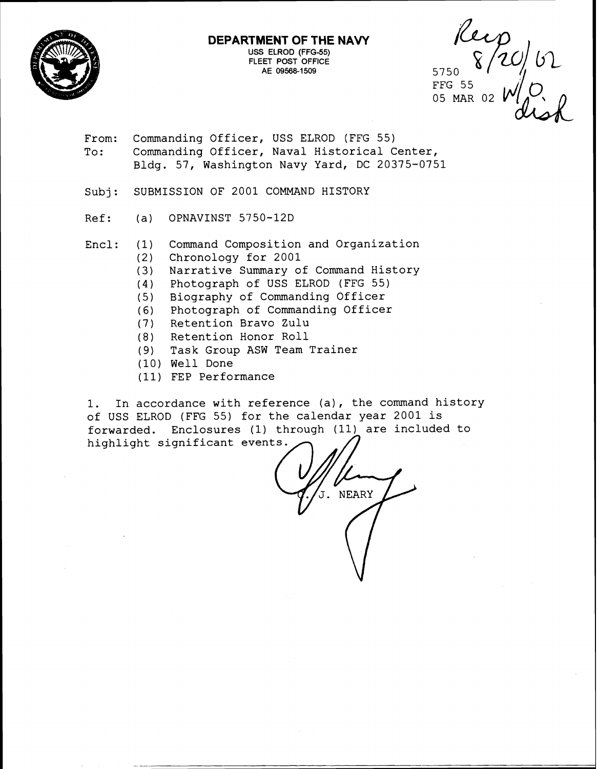

#### **DEPARTMENT OF THE NAVY USS** ELROD (FFG-55) FLEET POST OFFICE AE 09568-1509

5750 FFG 55 05 MAR 02

From: Commanding Officer, USS ELROD (FFG 55) To: Commanding Officer, Naval Historical Center, Bldg. 57, Washington Navy Yard, DC 20375-0751

Subj: SUBMISSION OF 2001 COMMAND HISTORY

- Ref: (a) OPNAVINST 5750-12D
- Encl: (1) Command Composition and Organization
	- (2) Chronology for 2001
	- (3) Narrative Summary of Command History
	- (4) Photograph of USS ELROD (FFG 55)
	- (5) Biography of Commanding Officer
	- (6) Photograph of Commanding Officer
	- (7) Retention Bravo Zulu
	- (8) Retention Honor Roll
	- (9) Task Group ASW Team Trainer
	- (10) Well Done
	- (11) FEP Performance

1. In accordance with reference (a), the command history of USS ELROD (FFG 55) for the calendar year 2001 is forwarded. Enclosures (1) through (11) are included to highlight significant events.

**NEARY**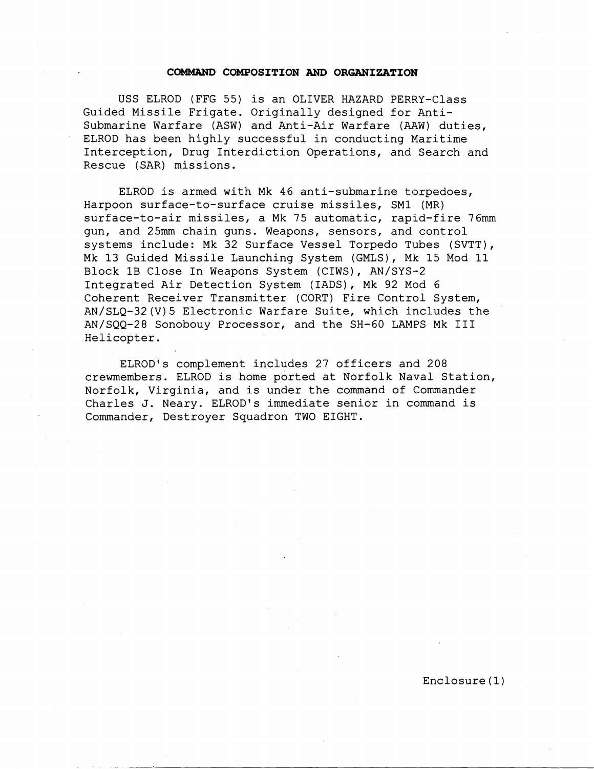#### **COMMAND COMPOSITION AND ORGANIZATION**

USS ELROD (FFG 55) is an OLIVER HAZARD PERRY-Class Guided Missile Frigate. Originally designed for Antisubmarine Warfare (ASW) and Anti-Air Warfare (AAW) duties, ELROD has been highly successful in conducting Maritime Interception, Drug Interdiction Operations, and Search and Rescue (SAR) missions.

ELROD is armed with Mk 46 anti-submarine torpedoes, Harpoon surface-to-surface cruise missiles, SM1 (MR) surface-to-air missiles, a Mk 75 automatic, rapid-fire 76mm gun, and 25mm chain guns. Weapons, sensors, and control systems include: Mk 32 Surface Vessel Torpedo Tubes (SVTT), Mk 13 Guided Missile Launching System (GMLS), Mk 15 Mod 11 Block 1B Close In Weapons System (CIWS), AN/SYS-2 Integrated Air Detection System (IADS), Mk 92 Mod 6 Coherent Receiver Transmitter (CORT) Fire Control System, AN/SLQ-32(V)5 Electronic Warfare Suite, which includes the AN/SQQ-28 Sonobouy Processor, and the SH-60 LAMPS Mk **I11**  Helicopter.

ELROD's complement includes 27 officers and 208 crewmembers. ELROD is home ported at Norfolk Naval Station, Norfolk, Virginia, and is under the command of Commander Charles J. Neary. ELROD's immediate senior in command is Commander, Destroyer Squadron TWO EIGHT.

Enclosure (1)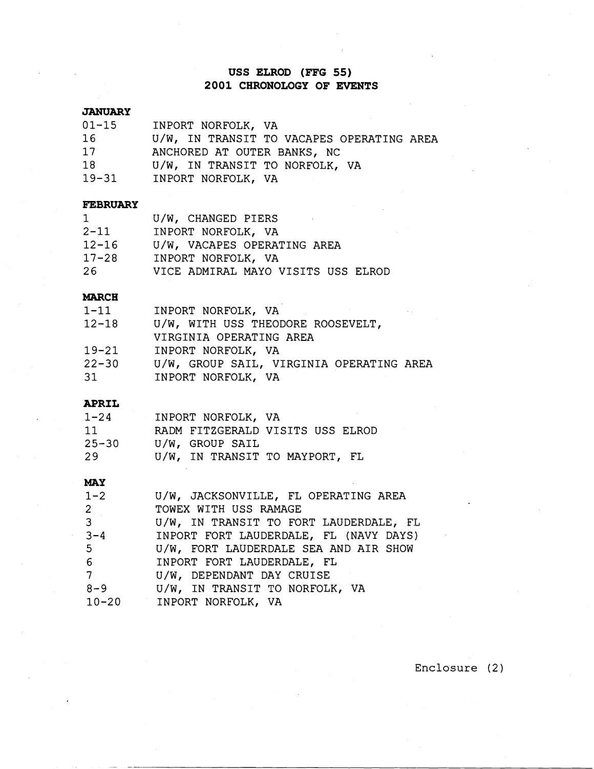# **USS ELROD (FFG 55) 2001 CHRONOLOGY OF EVENTS**

#### **JANUARY**

| $01 - 15$ | INPORT NORFOLK, VA                        |
|-----------|-------------------------------------------|
| 16        | U/W, IN TRANSIT TO VACAPES OPERATING AREA |
| 17        | ANCHORED AT OUTER BANKS, NC               |
| 18        | U/W, IN TRANSIT TO NORFOLK, VA            |
| $19 - 31$ | INPORT NORFOLK, VA                        |

#### **FEBRUARY**

| $\mathbf 1$ | U/W, CHANGED PIERS                 |
|-------------|------------------------------------|
| $2 - 11$    | INPORT NORFOLK, VA                 |
| $12 - 16$   | U/W, VACAPES OPERATING AREA        |
| $17 - 28$   | INPORT NORFOLK, VA                 |
| 26          | VICE ADMIRAL MAYO VISITS USS ELROD |

# MARCH

| $1 - 11$  | INPORT NORFOLK, VA                       |
|-----------|------------------------------------------|
| $12 - 18$ | U/W, WITH USS THEODORE ROOSEVELT,        |
|           | VIRGINIA OPERATING AREA                  |
| $19 - 21$ | INPORT NORFOLK, VA                       |
| $22 - 30$ | U/W, GROUP SAIL, VIRGINIA OPERATING AREA |
| 31        | INPORT NORFOLK, VA                       |

#### **APRIL**

| $1 - 24$  | INPORT NORFOLK, VA             |                                  |
|-----------|--------------------------------|----------------------------------|
| -11       |                                | RADM FITZGERALD VISITS USS ELROD |
| $25 - 30$ | U/W, GROUP SAIL                |                                  |
| -29       | U/W, IN TRANSIT TO MAYPORT, FL |                                  |

#### MAY

| $1 - 2$        | U/W, JACKSONVILLE, FL OPERATING AREA   |
|----------------|----------------------------------------|
| $\overline{2}$ | TOWEX WITH USS RAMAGE                  |
| 3 <sup>7</sup> | U/W, IN TRANSIT TO FORT LAUDERDALE, FL |
| $3 - 4$        | INPORT FORT LAUDERDALE, FL (NAVY DAYS) |
| $5 -$          | U/W, FORT LAUDERDALE SEA AND AIR SHOW  |
| 6 <sup>1</sup> | INPORT FORT LAUDERDALE, FL             |
| 7              | U/W, DEPENDANT DAY CRUISE              |
| $8 - 9$        | U/W, IN TRANSIT TO NORFOLK, VA         |
| $10 - 20$      | INPORT NORFOLK, VA                     |

### Enclosure (2)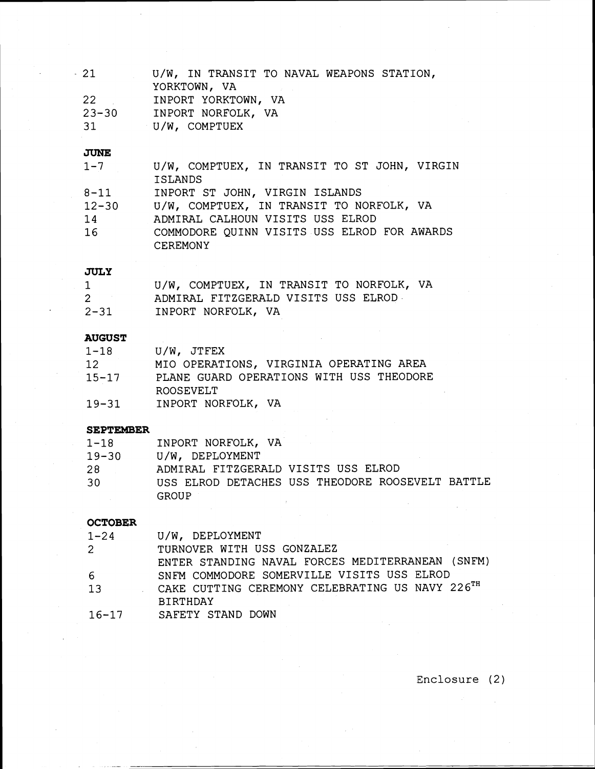| -21       | U/W, IN TRANSIT TO NAVAL WEAPONS STATION, |
|-----------|-------------------------------------------|
|           | YORKTOWN, VA                              |
| -22       | INPORT YORKTOWN, VA                       |
| $23 - 30$ | INPORT NORFOLK, VA                        |
| -31       | U/W, COMPTUEX                             |

### **JUNE**

| $1 - 7$   | U/W, COMPTUEX, IN TRANSIT TO ST JOHN, VIRGIN |
|-----------|----------------------------------------------|
|           | <b>ISLANDS</b>                               |
| $8 - 11$  | INPORT ST JOHN, VIRGIN ISLANDS               |
| $12 - 30$ | U/W, COMPTUEX, IN TRANSIT TO NORFOLK, VA     |
| 14        | ADMIRAL CALHOUN VISITS USS ELROD             |
| 16        | COMMODORE QUINN VISITS USS ELROD FOR AWARDS  |
|           | <b>CEREMONY</b>                              |

# JULY

|          | U/W, COMPTUEX, IN TRANSIT TO NORFOLK, VA |
|----------|------------------------------------------|
| $2 -$    | ADMIRAL FITZGERALD VISITS USS ELROD      |
| $2 - 31$ | INPORT NORFOLK, VA                       |

# **AUGUST**

| 1-18      | U/W, JTFEX                                            |
|-----------|-------------------------------------------------------|
| 12        | MIO OPERATIONS, VIRGINIA OPERATING AREA               |
| $15 - 17$ | PLANE GUARD OPERATIONS WITH USS THEODORE<br>ROOSEVELT |
| $19 - 31$ | INPORT NORFOLK, VA                                    |

# **SEPTEMBER**

| $1 - 18$  | INPORT NORFOLK, VA                               |
|-----------|--------------------------------------------------|
| $19 - 30$ | U/W, DEPLOYMENT                                  |
| 28        | ADMIRAL FITZGERALD VISITS USS ELROD              |
| 30        | USS ELROD DETACHES USS THEODORE ROOSEVELT BATTLE |
|           | <b>GROUP</b>                                     |

# **OCTOBER**

| $1 - 24$    | U/W, DEPLOYMENT                                  |
|-------------|--------------------------------------------------|
| $2^{\circ}$ | TURNOVER WITH USS GONZALEZ                       |
|             | ENTER STANDING NAVAL FORCES MEDITERRANEAN (SNFM) |
| -6          | SNFM COMMODORE SOMERVILLE VISITS USS ELROD       |
| 13          | CAKE CUTTING CEREMONY CELEBRATING US NAVY 226TH  |
|             | <b>BIRTHDAY</b>                                  |
| $16 - 17$   | SAFETY STAND DOWN                                |

**Enclosure** (2)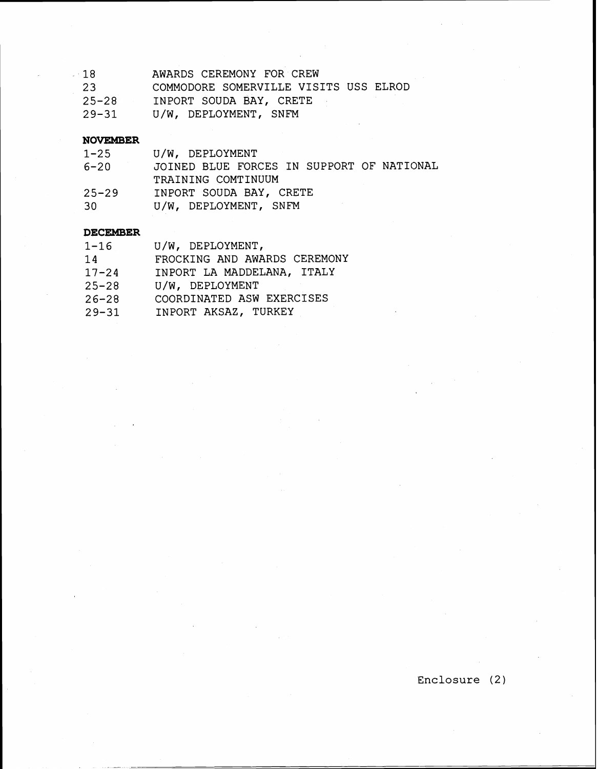| 18        | AWARDS CEREMONY FOR CREW              |
|-----------|---------------------------------------|
| 23        | COMMODORE SOMERVILLE VISITS USS ELROD |
| $25 - 28$ | INPORT SOUDA BAY, CRETE               |
| $29 - 31$ | U/W, DEPLOYMENT, SNFM                 |

#### **NOVEMBER**

| $1 - 25$  | U/W, DEPLOYMENT                           |
|-----------|-------------------------------------------|
| $6 - 20$  | JOINED BLUE FORCES IN SUPPORT OF NATIONAL |
|           | TRAINING COMTINUUM                        |
| $25 - 29$ | INPORT SOUDA BAY, CRETE                   |
| 30        | U/W, DEPLOYMENT, SNFM                     |

#### DECEMBER

| $1 - 16$  | U/W, DEPLOYMENT,             |
|-----------|------------------------------|
| 14        | FROCKING AND AWARDS CEREMONY |
| $17 - 24$ | INPORT LA MADDELANA, ITALY   |
| $25 - 28$ | U/W, DEPLOYMENT              |
| $26 - 28$ | COORDINATED ASW EXERCISES    |
| $29 - 31$ | INPORT AKSAZ, TURKEY         |

**Enclosure** (2 )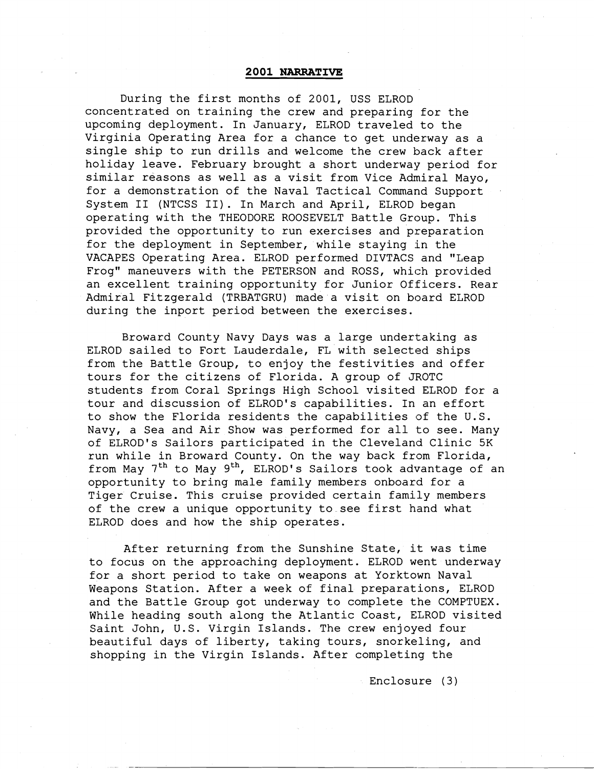#### **2001 NARRATIVE**

During the first months of 2001, USS ELROD concentrated on training the crew and preparing for the upcoming deployment. In January, ELROD traveled to the Virginia Operating Area for a chance to get underway as a single ship to run drills and welcome the crew back after holiday leave. February brought a short underway period for similar reasons as well as a visit from Vice Admiral Mayo, for a demonstration of the Naval Tactical Command Support System I1 (NTCSS 11). In March and April, ELROD began operating with the THEODORE ROOSEVELT Battle Group. This provided the opportunity to run exercises and preparation for the deployment in September, while staying in the VACAPES Operating Area. ELROD performed DIVTACS and "Leap Frog" maneuvers with the PETERSON and ROSS, which provided an excellent training opportunity for Junior Officers. Rear Admiral Fitzgerald (TRBATGRU) made a visit on board ELROD during the inport period between the exercises.

Broward County Navy Days was a large undertaking as ELROD sailed to Fort Lauderdale, FL with selected ships from the Battle Group, to enjoy the festivities and offer tours for the citizens of Florida. A group of JROTC students from Coral Springs High School visited ELROD for a tour and discussion of ELROD's capabilities. In an effort to show the Florida residents the capabilities of the U.S. Navy, a Sea and Air Show was performed for all to see. Many of ELROD's Sailors participated in the Cleveland Clinic 5K run while in Broward County. On the way back from Florida, from May  $7<sup>th</sup>$  to May  $9<sup>th</sup>$ , ELROD's Sailors took advantage of an opportunity to bring male family members onboard for a Tiger Cruise. This cruise provided certain family members of the crew a unique opportunity to see first hand what ELROD does and how the ship operates.

After returning from the Sunshine State, it was time to focus on the approaching deployment. ELROD went underway for a short period to take on weapons at Yorktown Naval Weapons Station. After a week of final preparations, ELROD and the Battle Group got underway to complete the COMPTUEX. While heading south along the Atlantic Coast, ELROD visited Saint John, U.S. Virgin Islands. The crew enjoyed four beautiful days of liberty, taking tours, snorkeling, and shopping in the Virgin Islands. After completing the

Enclosure (3)